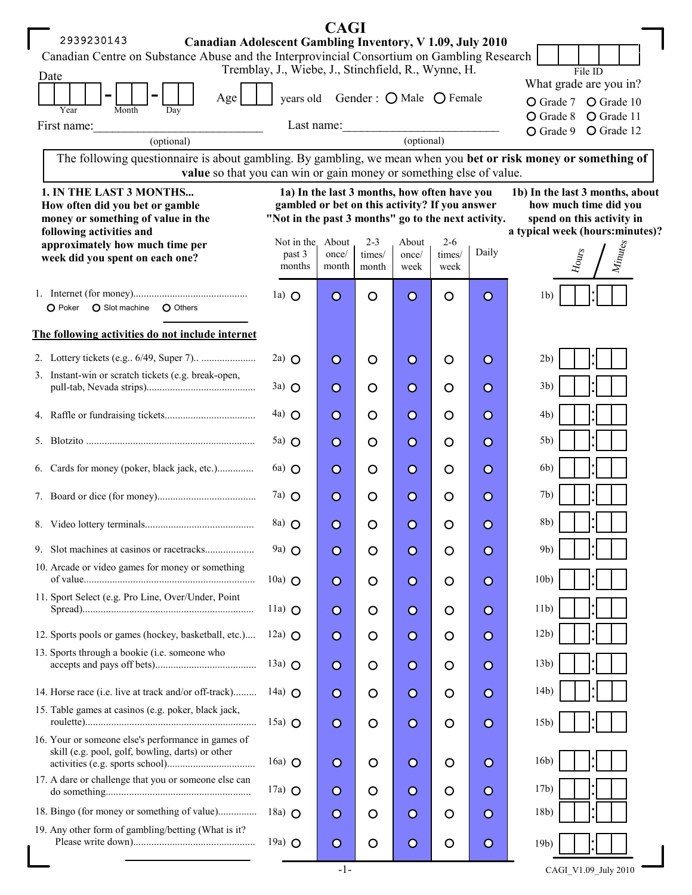| <b>CAGI</b>                                                                                                                                                                                                              |                                                     |                           |                 |               |                |                |                                                 |  |  |  |  |  |
|--------------------------------------------------------------------------------------------------------------------------------------------------------------------------------------------------------------------------|-----------------------------------------------------|---------------------------|-----------------|---------------|----------------|----------------|-------------------------------------------------|--|--|--|--|--|
| 2939230143<br>Canadian Adolescent Gambling Inventory, V 1.09, July 2010                                                                                                                                                  |                                                     |                           |                 |               |                |                |                                                 |  |  |  |  |  |
| Canadian Centre on Substance Abuse and the Interprovincial Consortium on Gambling Research<br>Tremblay, J., Wiebe, J., Stinchfield, R., Wynne, H.<br>File ID                                                             |                                                     |                           |                 |               |                |                |                                                 |  |  |  |  |  |
| Date                                                                                                                                                                                                                     |                                                     | What grade are you in?    |                 |               |                |                |                                                 |  |  |  |  |  |
| years old Gender : $\bigcirc$ Male $\bigcirc$ Female<br>Age<br>Year<br>Month<br>Day                                                                                                                                      |                                                     |                           |                 |               |                |                | O Grade 7 O Grade 10                            |  |  |  |  |  |
| First name:                                                                                                                                                                                                              |                                                     |                           |                 |               |                |                |                                                 |  |  |  |  |  |
| (optional)                                                                                                                                                                                                               | O Grade 12<br>O Grade 9                             |                           |                 |               |                |                |                                                 |  |  |  |  |  |
| The following questionnaire is about gambling. By gambling, we mean when you bet or risk money or something of                                                                                                           |                                                     |                           |                 |               |                |                |                                                 |  |  |  |  |  |
| value so that you can win or gain money or something else of value.                                                                                                                                                      |                                                     |                           |                 |               |                |                |                                                 |  |  |  |  |  |
| 1. IN THE LAST 3 MONTHS<br>1a) In the last 3 months, how often have you<br>1b) In the last 3 months, about<br>gambled or bet on this activity? If you answer<br>how much time did you<br>How often did you bet or gamble |                                                     |                           |                 |               |                |                |                                                 |  |  |  |  |  |
| money or something of value in the                                                                                                                                                                                       | "Not in the past 3 months" go to the next activity. | spend on this activity in |                 |               |                |                |                                                 |  |  |  |  |  |
| following activities and<br>approximately how much time per                                                                                                                                                              | Not in the About                                    |                           | $2 - 3$         | About         | $2 - 6$        |                | a typical week (hours:minutes)?                 |  |  |  |  |  |
| week did you spent on each one?                                                                                                                                                                                          | past 3<br>months                                    | once/<br>month            | times/<br>month | once/<br>week | times/<br>week | Daily          | $M_{\rm i}\rm_{\rm u}$<br>${\cal H}_{\rm OUTS}$ |  |  |  |  |  |
|                                                                                                                                                                                                                          |                                                     |                           |                 |               |                |                |                                                 |  |  |  |  |  |
| O Slot machine<br>O Others<br>O Poker                                                                                                                                                                                    | 1a) $\Omega$                                        | $\circ$                   | $\circ$         | $\circ$       | $\circ$        | $\overline{O}$ | 1 <sub>b</sub>                                  |  |  |  |  |  |
|                                                                                                                                                                                                                          |                                                     |                           |                 |               |                |                |                                                 |  |  |  |  |  |
| The following activities do not include internet                                                                                                                                                                         |                                                     |                           |                 |               |                |                |                                                 |  |  |  |  |  |
|                                                                                                                                                                                                                          | $2a)$ O                                             | $\circ$                   | $\circ$         | $\circ$       | $\circ$        | $\circ$        | 2b)                                             |  |  |  |  |  |
| 3. Instant-win or scratch tickets (e.g. break-open,                                                                                                                                                                      | $3a)$ O                                             | $\circ$                   | $\circ$         | $\circ$       | $\circ$        | $\circ$        | 3b)                                             |  |  |  |  |  |
|                                                                                                                                                                                                                          | $4a)$ O                                             | $\circ$                   | $\circ$         | $\circ$       | $\circ$        | $\circ$        | 4b)                                             |  |  |  |  |  |
|                                                                                                                                                                                                                          | $5a)$ $\bigcirc$                                    | $\circ$                   | $\circ$         | $\circ$       | $\circ$        | $\circ$        | 5b)                                             |  |  |  |  |  |
| 6. Cards for money (poker, black jack, etc.)                                                                                                                                                                             | $6a)$ $\bigcirc$                                    | $\circ$                   | O               | $\circ$       | $\circ$        | $\circ$        | 6b)                                             |  |  |  |  |  |
|                                                                                                                                                                                                                          | $7a)$ O                                             | $\circ$                   | $\circ$         | $\circ$       | $\circ$        | $\circ$        | 7b)                                             |  |  |  |  |  |
|                                                                                                                                                                                                                          | $\langle$ 8a) $\bigcirc$                            | $\Omega$                  | O               | $\Omega$      | O              | $\Omega$       | 8 <sub>b</sub>                                  |  |  |  |  |  |
|                                                                                                                                                                                                                          | 9a) O                                               | $\circ$                   | $\circ$         | $\circ$       | O              | $\circ$        | 9 <sub>b</sub>                                  |  |  |  |  |  |
| 10. Arcade or video games for money or something                                                                                                                                                                         | 10a) $\bigcirc$                                     | $\circ$                   | $\circ$         | $\circ$       | $\circ$        | $\circ$        | 10 <sub>b</sub>                                 |  |  |  |  |  |
| 11. Sport Select (e.g. Pro Line, Over/Under, Point                                                                                                                                                                       | 11a) $\Omega$                                       | $\circ$                   | O               | $\circ$       | O              | $\circ$        | 11 <sub>b</sub>                                 |  |  |  |  |  |
| 12. Sports pools or games (hockey, basketball, etc.)                                                                                                                                                                     | 12a) $\bigcirc$                                     | $\circ$                   | $\circ$         | $\circ$       | $\circ$        | $\circ$        | 12 <sub>b</sub>                                 |  |  |  |  |  |
| 13. Sports through a bookie (i.e. someone who                                                                                                                                                                            | 13a) $\Omega$                                       | $\circ$                   | O               | $\circ$       | $\circ$        | $\circ$        | 13 <sub>b</sub>                                 |  |  |  |  |  |
| 14. Horse race (i.e. live at track and/or off-track)                                                                                                                                                                     | 14a) $\bigcirc$                                     | $\circ$                   | $\circ$         | $\circ$       | $\circ$        | $\circ$        | 14 <sub>b</sub>                                 |  |  |  |  |  |
| 15. Table games at casinos (e.g. poker, black jack,                                                                                                                                                                      |                                                     |                           |                 |               |                |                |                                                 |  |  |  |  |  |
|                                                                                                                                                                                                                          | 15a) $\Omega$                                       | $\circ$                   | $\circ$         | $\circ$       | $\circ$        | $\circ$        | 15 <sub>b</sub>                                 |  |  |  |  |  |
| 16. Your or someone else's performance in games of<br>skill (e.g. pool, golf, bowling, darts) or other                                                                                                                   | 16a) $\bigcirc$                                     | $\circ$                   | $\circ$         | $\circ$       | O              | $\circ$        | 16 <sub>b</sub>                                 |  |  |  |  |  |
| 17. A dare or challenge that you or someone else can                                                                                                                                                                     | $17a)$ O                                            | $\circ$                   | $\circ$         | $\circ$       | $\circ$        | $\circ$        | 17 <sub>b</sub>                                 |  |  |  |  |  |
| 18. Bingo (for money or something of value)                                                                                                                                                                              | 18a) $\Omega$                                       | $\circ$                   | O               | $\circ$       | $\circ$        | $\circ$        | 18 <sub>b</sub>                                 |  |  |  |  |  |
| 19. Any other form of gambling/betting (What is it?                                                                                                                                                                      | 19a) $\bigcirc$                                     | $\circ$                   | $\circ$         | $\circ$       | $\circ$        | $\circ$        | 19 <sub>b</sub>                                 |  |  |  |  |  |
|                                                                                                                                                                                                                          |                                                     |                           |                 |               |                |                |                                                 |  |  |  |  |  |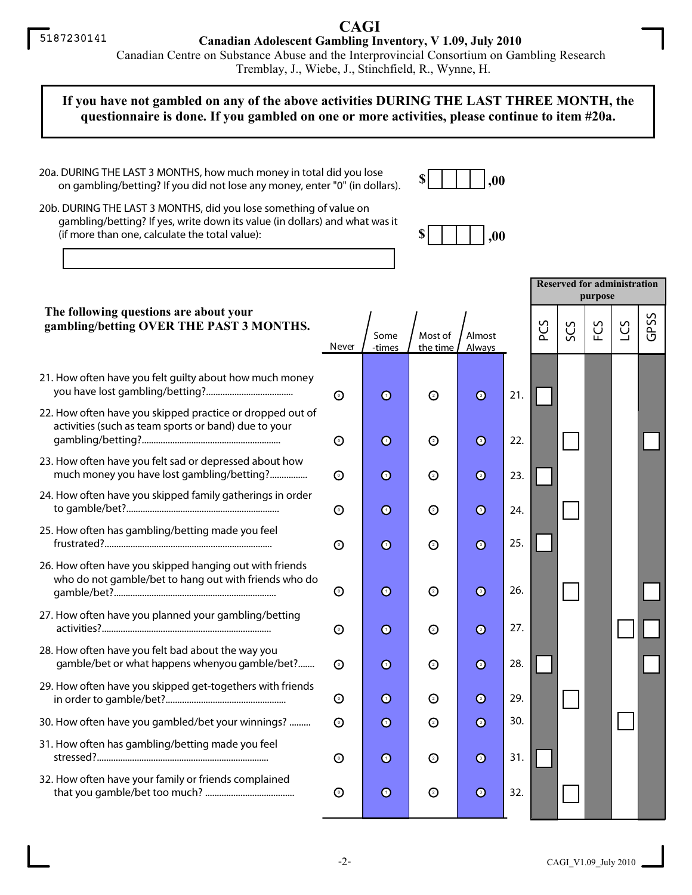## **CAGI**

**Canadian Adolescent Gambling Inventory, V 1.09, July 2010**

 Canadian Centre on Substance Abuse and the Interprovincial Consortium on Gambling ResearchTremblay, J., Wiebe, J., Stinchfield, R., Wynne, H.